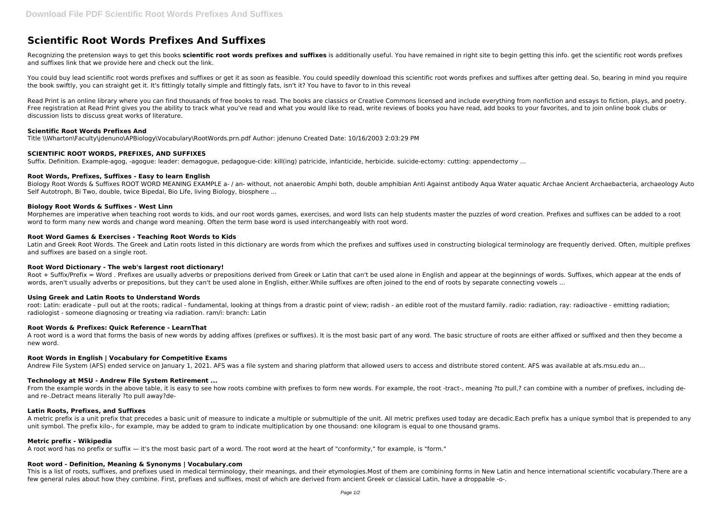# **Scientific Root Words Prefixes And Suffixes**

Recognizing the pretension ways to get this books **scientific root words prefixes and suffixes** is additionally useful. You have remained in right site to begin getting this info. get the scientific root words prefixes and suffixes link that we provide here and check out the link.

You could buy lead scientific root words prefixes and suffixes or get it as soon as feasible. You could speedily download this scientific root words prefixes and suffixes after getting deal. So, bearing in mind you require the book swiftly, you can straight get it. It's fittingly totally simple and fittingly fats, isn't it? You have to favor to in this reveal

Biology Root Words & Suffixes ROOT WORD MEANING EXAMPLE a- / an- without, not anaerobic Amphi both, double amphibian Anti Against antibody Aqua Water aquatic Archae Ancient Archaebacteria, archaeology Auto Self Autotroph, Bi Two, double, twice Bipedal, Bio Life, living Biology, biosphere ...

Read Print is an online library where you can find thousands of free books to read. The books are classics or Creative Commons licensed and include everything from nonfiction and essays to fiction, plays, and poetry. Free registration at Read Print gives you the ability to track what you've read and what you would like to read, write reviews of books you have read, add books to your favorites, and to join online book clubs or discussion lists to discuss great works of literature.

## **Scientific Root Words Prefixes And**

Latin and Greek Root Words. The Greek and Latin roots listed in this dictionary are words from which the prefixes and suffixes used in constructing biological terminology are frequently derived. Often, multiple prefixes and suffixes are based on a single root.

Title \\Wharton\Faculty\jdenuno\APBiology\Vocabulary\RootWords.prn.pdf Author: jdenuno Created Date: 10/16/2003 2:03:29 PM

## **SCIENTIFIC ROOT WORDS, PREFIXES, AND SUFFIXES**

Suffix. Definition. Example-agog, -agogue: leader: demagogue, pedagogue-cide: kill(ing) patricide, infanticide, herbicide. suicide-ectomy: cutting: appendectomy ...

## **Root Words, Prefixes, Suffixes - Easy to learn English**

root: Latin: eradicate - pull out at the roots; radical - fundamental, looking at things from a drastic point of view; radish - an edible root of the mustard family. radio: radiation, ray: radioactive - emitting radiation; radiologist - someone diagnosing or treating via radiation. ram/i: branch: Latin

A root word is a word that forms the basis of new words by adding affixes (prefixes or suffixes). It is the most basic part of any word. The basic structure of roots are either affixed or suffixed and then they become a new word.

## **Biology Root Words & Suffixes - West Linn**

From the example words in the above table, it is easy to see how roots combine with prefixes to form new words. For example, the root -tract-, meaning ?to pull,? can combine with a number of prefixes, including deand re-.Detract means literally ?to pull away?de-

Morphemes are imperative when teaching root words to kids, and our root words games, exercises, and word lists can help students master the puzzles of word creation. Prefixes and suffixes can be added to a root word to form many new words and change word meaning. Often the term base word is used interchangeably with root word.

#### **Root Word Games & Exercises - Teaching Root Words to Kids**

A metric prefix is a unit prefix that precedes a basic unit of measure to indicate a multiple or submultiple of the unit. All metric prefixes used today are decadic.Each prefix has a unique symbol that is prepended to any unit symbol. The prefix kilo-, for example, may be added to gram to indicate multiplication by one thousand: one kilogram is equal to one thousand grams.

## **Root Word Dictionary - The web's largest root dictionary!**

Root + Suffix/Prefix = Word . Prefixes are usually adverbs or prepositions derived from Greek or Latin that can't be used alone in English and appear at the beginnings of words. Suffixes, which appear at the ends of words, aren't usually adverbs or prepositions, but they can't be used alone in English, either. While suffixes are often joined to the end of roots by separate connecting yowels ...

## **Using Greek and Latin Roots to Understand Words**

## **Root Words & Prefixes: Quick Reference - LearnThat**

## **Root Words in English | Vocabulary for Competitive Exams**

Andrew File System (AFS) ended service on January 1, 2021. AFS was a file system and sharing platform that allowed users to access and distribute stored content. AFS was available at afs.msu.edu an…

## **Technology at MSU - Andrew File System Retirement ...**

## **Latin Roots, Prefixes, and Suffixes**

## **Metric prefix - Wikipedia**

A root word has no prefix or suffix — it's the most basic part of a word. The root word at the heart of "conformity," for example, is "form."

## **Root word - Definition, Meaning & Synonyms | Vocabulary.com**

This is a list of roots, suffixes, and prefixes used in medical terminology, their meanings, and their etymologies.Most of them are combining forms in New Latin and hence international scientific vocabulary.There are a few general rules about how they combine. First, prefixes and suffixes, most of which are derived from ancient Greek or classical Latin, have a droppable -o-.